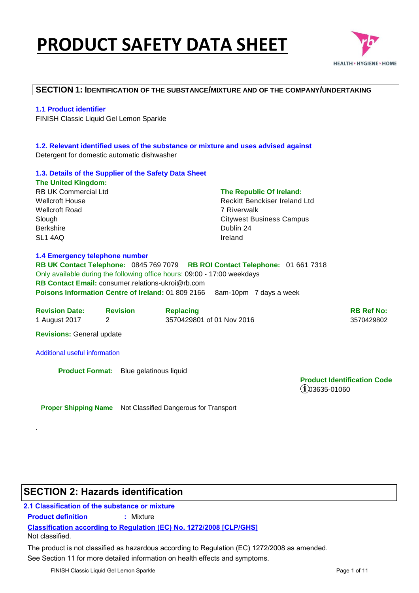# **PRODUCT SAFETY DATA SHEET**



### **SECTION 1: IDENTIFICATION OF THE SUBSTANCE/MIXTURE AND OF THE COMPANY/UNDERTAKING**

### **1.1 Product identifier**

FINISH Classic Liquid Gel Lemon Sparkle

### **1.2. Relevant identified uses of the substance or mixture and uses advised against**  Detergent for domestic automatic dishwasher

### **1.3. Details of the Supplier of the Safety Data Sheet**

**The United Kingdom:**  RB UK Commercial Ltd Wellcroft House Wellcroft Road Slough Berkshire SL1 4AQ

### **The Republic Of Ireland:**

Reckitt Benckiser Ireland Ltd 7 Riverwalk Citywest Business Campus Dublin 24 Ireland

### **1.4 Emergency telephone number**

**RB UK Contact Telephone:** 0845 769 7079 **RB ROI Contact Telephone:** 01 661 7318 Only available during the following office hours: 09:00 - 17:00 weekdays **RB Contact Email:** consumer relations-ukroi@rb.com **Poisons Information Centre of Ireland: 01 809 2166 8am-10pm 7 days a week** 

| <b>Revision Date:</b> | <b>Revision</b> | <b>Replacing</b>          | <b>RB Ref No:</b> |
|-----------------------|-----------------|---------------------------|-------------------|
| 1 August 2017         |                 | 3570429801 of 01 Nov 2016 | 3570429802        |

**Revisions:** General update

### Additional useful information

**Product Format:** Blue gelatinous liquid

**Product Identification Code**   $(1)$ 03635-01060

**Proper Shipping Name** Not Classified Dangerous for Transport

# **SECTION 2: Hazards identification**

# **2.1 Classification of the substance or mixture**

**Product definition :** Mixture

### **Classification according to Regulation (EC) No. 1272/2008 [CLP/GHS]**

Not classified.

.

See Section 11 for more detailed information on health effects and symptoms. The product is not classified as hazardous according to Regulation (EC) 1272/2008 as amended.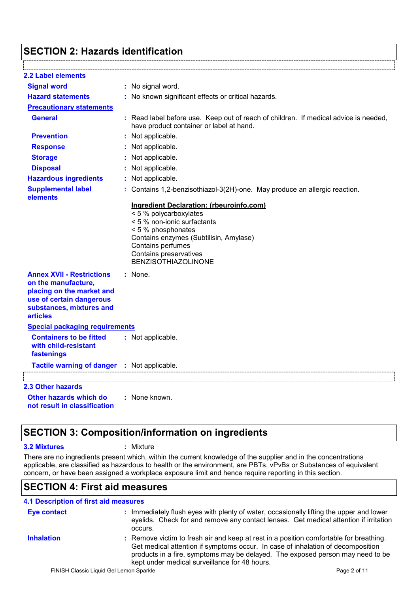# **SECTION 2: Hazards identification**

| <b>2.2 Label elements</b>                                                                                                                                       |                                                                                                                                                                                                    |
|-----------------------------------------------------------------------------------------------------------------------------------------------------------------|----------------------------------------------------------------------------------------------------------------------------------------------------------------------------------------------------|
| <b>Signal word</b>                                                                                                                                              | : No signal word.                                                                                                                                                                                  |
| <b>Hazard statements</b>                                                                                                                                        | : No known significant effects or critical hazards.                                                                                                                                                |
| <b>Precautionary statements</b>                                                                                                                                 |                                                                                                                                                                                                    |
| <b>General</b>                                                                                                                                                  | : Read label before use. Keep out of reach of children. If medical advice is needed,<br>have product container or label at hand.                                                                   |
| <b>Prevention</b>                                                                                                                                               | : Not applicable.                                                                                                                                                                                  |
| <b>Response</b>                                                                                                                                                 | : Not applicable.                                                                                                                                                                                  |
| <b>Storage</b>                                                                                                                                                  | : Not applicable.                                                                                                                                                                                  |
| <b>Disposal</b>                                                                                                                                                 | : Not applicable.                                                                                                                                                                                  |
| <b>Hazardous ingredients</b>                                                                                                                                    | : Not applicable.                                                                                                                                                                                  |
| <b>Supplemental label</b><br>elements                                                                                                                           | : Contains 1,2-benzisothiazol-3(2H)-one. May produce an allergic reaction.                                                                                                                         |
|                                                                                                                                                                 | < 5 % polycarboxylates<br>< 5 % non-ionic surfactants<br>< 5 % phosphonates<br>Contains enzymes (Subtilisin, Amylase)<br>Contains perfumes<br>Contains preservatives<br><b>BENZISOTHIAZOLINONE</b> |
| <b>Annex XVII - Restrictions</b><br>on the manufacture,<br>placing on the market and<br>use of certain dangerous<br>substances, mixtures and<br><b>articles</b> | : None.                                                                                                                                                                                            |
| <b>Special packaging requirements</b>                                                                                                                           |                                                                                                                                                                                                    |
| <b>Containers to be fitted</b><br>with child-resistant<br>fastenings                                                                                            | : Not applicable.                                                                                                                                                                                  |
| Tactile warning of danger : Not applicable.                                                                                                                     |                                                                                                                                                                                                    |
|                                                                                                                                                                 |                                                                                                                                                                                                    |
| <b>2.3 Other hazards</b>                                                                                                                                        |                                                                                                                                                                                                    |
| Other hazards which do<br>not result in classification                                                                                                          | : None known.                                                                                                                                                                                      |

# **SECTION 3: Composition/information on ingredients**

### **3.2 Mixtures :** Mixture

There are no ingredients present which, within the current knowledge of the supplier and in the concentrations applicable, are classified as hazardous to health or the environment, are PBTs, vPvBs or Substances of equivalent concern, or have been assigned a workplace exposure limit and hence require reporting in this section.

# **SECTION 4: First aid measures**

| <b>4.1 Description of first aid measures</b> |                                                                                                                                                                                                                                                                                                              |
|----------------------------------------------|--------------------------------------------------------------------------------------------------------------------------------------------------------------------------------------------------------------------------------------------------------------------------------------------------------------|
| <b>Eye contact</b>                           | : Immediately flush eyes with plenty of water, occasionally lifting the upper and lower<br>eyelids. Check for and remove any contact lenses. Get medical attention if irritation<br>occurs.                                                                                                                  |
| <b>Inhalation</b>                            | : Remove victim to fresh air and keep at rest in a position comfortable for breathing.<br>Get medical attention if symptoms occur. In case of inhalation of decomposition<br>products in a fire, symptoms may be delayed. The exposed person may need to be<br>kept under medical surveillance for 48 hours. |
|                                              | FINISH Classic Liquid Gel Lemon Sparkle<br>Page 2 of 11                                                                                                                                                                                                                                                      |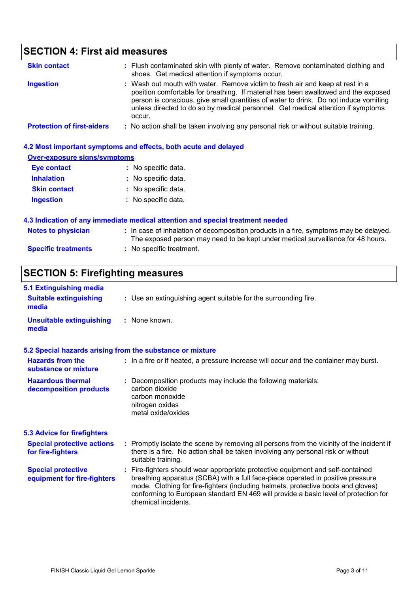# **SECTION 4: First aid measures**

| <b>Skin contact</b>               | : Flush contaminated skin with plenty of water. Remove contaminated clothing and<br>shoes. Get medical attention if symptoms occur.                                                                                                                                                                                                                       |
|-----------------------------------|-----------------------------------------------------------------------------------------------------------------------------------------------------------------------------------------------------------------------------------------------------------------------------------------------------------------------------------------------------------|
| <b>Ingestion</b>                  | : Wash out mouth with water. Remove victim to fresh air and keep at rest in a<br>position comfortable for breathing. If material has been swallowed and the exposed<br>person is conscious, give small quantities of water to drink. Do not induce vomiting<br>unless directed to do so by medical personnel. Get medical attention if symptoms<br>occur. |
| <b>Protection of first-aiders</b> | : No action shall be taken involving any personal risk or without suitable training.                                                                                                                                                                                                                                                                      |

|                                     | 4.2 Most important symptoms and effects, both acute and delayed                                                                                                          |
|-------------------------------------|--------------------------------------------------------------------------------------------------------------------------------------------------------------------------|
| <b>Over-exposure signs/symptoms</b> |                                                                                                                                                                          |
| <b>Eye contact</b>                  | : No specific data.                                                                                                                                                      |
| <b>Inhalation</b>                   | : No specific data.                                                                                                                                                      |
| <b>Skin contact</b>                 | : No specific data.                                                                                                                                                      |
| <b>Ingestion</b>                    | : No specific data.                                                                                                                                                      |
|                                     | 4.3 Indication of any immediate medical attention and special treatment needed                                                                                           |
| <b>Notes to physician</b>           | : In case of inhalation of decomposition products in a fire, symptoms may be delayed.<br>The exposed person may need to be kept under medical surveillance for 48 hours. |
| <b>Specific treatments</b>          | $:$ No specific treatment.                                                                                                                                               |

# **SECTION 5: Firefighting measures**

| 5.1 Extinguishing media<br><b>Suitable extinguishing</b><br>media | : Use an extinguishing agent suitable for the surrounding fire.                                                                                                                                                                                                                                                                                                       |
|-------------------------------------------------------------------|-----------------------------------------------------------------------------------------------------------------------------------------------------------------------------------------------------------------------------------------------------------------------------------------------------------------------------------------------------------------------|
| <b>Unsuitable extinguishing</b><br>media                          | : None known.                                                                                                                                                                                                                                                                                                                                                         |
|                                                                   | 5.2 Special hazards arising from the substance or mixture                                                                                                                                                                                                                                                                                                             |
| <b>Hazards from the</b><br>substance or mixture                   | : In a fire or if heated, a pressure increase will occur and the container may burst.                                                                                                                                                                                                                                                                                 |
| <b>Hazardous thermal</b><br>decomposition products                | : Decomposition products may include the following materials:<br>carbon dioxide<br>carbon monoxide<br>nitrogen oxides<br>metal oxide/oxides                                                                                                                                                                                                                           |
| <b>5.3 Advice for firefighters</b>                                |                                                                                                                                                                                                                                                                                                                                                                       |
| <b>Special protective actions</b><br>for fire-fighters            | : Promptly isolate the scene by removing all persons from the vicinity of the incident if<br>there is a fire. No action shall be taken involving any personal risk or without<br>suitable training.                                                                                                                                                                   |
| <b>Special protective</b><br>equipment for fire-fighters          | : Fire-fighters should wear appropriate protective equipment and self-contained<br>breathing apparatus (SCBA) with a full face-piece operated in positive pressure<br>mode. Clothing for fire-fighters (including helmets, protective boots and gloves)<br>conforming to European standard EN 469 will provide a basic level of protection for<br>chemical incidents. |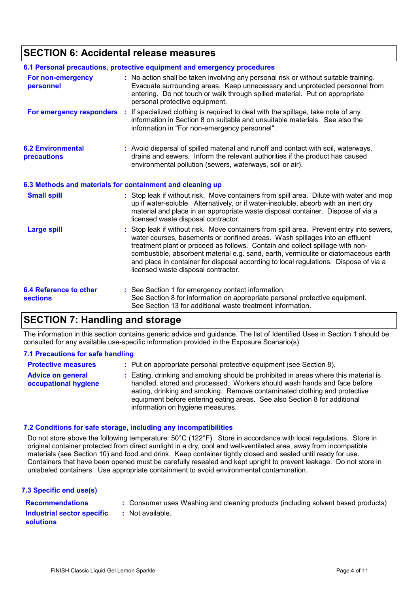# **SECTION 6: Accidental release measures**

|                                                  | 6.1 Personal precautions, protective equipment and emergency procedures                                                                                                                                                                                                                                                                                                                                                                                                        |
|--------------------------------------------------|--------------------------------------------------------------------------------------------------------------------------------------------------------------------------------------------------------------------------------------------------------------------------------------------------------------------------------------------------------------------------------------------------------------------------------------------------------------------------------|
| For non-emergency<br>personnel                   | : No action shall be taken involving any personal risk or without suitable training.<br>Evacuate surrounding areas. Keep unnecessary and unprotected personnel from<br>entering. Do not touch or walk through spilled material. Put on appropriate<br>personal protective equipment.                                                                                                                                                                                           |
| For emergency responders                         | : If specialized clothing is required to deal with the spillage, take note of any<br>information in Section 8 on suitable and unsuitable materials. See also the<br>information in "For non-emergency personnel".                                                                                                                                                                                                                                                              |
| <b>6.2 Environmental</b><br>precautions          | : Avoid dispersal of spilled material and runoff and contact with soil, waterways,<br>drains and sewers. Inform the relevant authorities if the product has caused<br>environmental pollution (sewers, waterways, soil or air).                                                                                                                                                                                                                                                |
|                                                  | 6.3 Methods and materials for containment and cleaning up                                                                                                                                                                                                                                                                                                                                                                                                                      |
| <b>Small spill</b>                               | : Stop leak if without risk. Move containers from spill area. Dilute with water and mop<br>up if water-soluble. Alternatively, or if water-insoluble, absorb with an inert dry<br>material and place in an appropriate waste disposal container. Dispose of via a<br>licensed waste disposal contractor.                                                                                                                                                                       |
| <b>Large spill</b>                               | : Stop leak if without risk. Move containers from spill area. Prevent entry into sewers,<br>water courses, basements or confined areas. Wash spillages into an effluent<br>treatment plant or proceed as follows. Contain and collect spillage with non-<br>combustible, absorbent material e.g. sand, earth, vermiculite or diatomaceous earth<br>and place in container for disposal according to local regulations. Dispose of via a<br>licensed waste disposal contractor. |
| <b>6.4 Reference to other</b><br><b>sections</b> | : See Section 1 for emergency contact information.<br>See Section 8 for information on appropriate personal protective equipment.<br>See Section 13 for additional waste treatment information.                                                                                                                                                                                                                                                                                |

# **SECTION 7: Handling and storage**

The information in this section contains generic advice and guidance. The list of Identified Uses in Section 1 should be consulted for any available use-specific information provided in the Exposure Scenario(s).

### **7.1 Precautions for safe handling**

| <b>Protective measures</b>                       | : Put on appropriate personal protective equipment (see Section 8).                                                                                                                                                                                                                                                                                           |
|--------------------------------------------------|---------------------------------------------------------------------------------------------------------------------------------------------------------------------------------------------------------------------------------------------------------------------------------------------------------------------------------------------------------------|
| <b>Advice on general</b><br>occupational hygiene | : Eating, drinking and smoking should be prohibited in areas where this material is<br>handled, stored and processed. Workers should wash hands and face before<br>eating, drinking and smoking. Remove contaminated clothing and protective<br>equipment before entering eating areas. See also Section 8 for additional<br>information on hygiene measures. |

### **7.2 Conditions for safe storage, including any incompatibilities**

: Not available.

Do not store above the following temperature: 50°C (122°F). Store in accordance with local regulations. Store in original container protected from direct sunlight in a dry, cool and well-ventilated area, away from incompatible materials (see Section 10) and food and drink. Keep container tightly closed and sealed until ready for use. Containers that have been opened must be carefully resealed and kept upright to prevent leakage. Do not store in unlabeled containers. Use appropriate containment to avoid environmental contamination.

| : Consumer uses Washing and cleaning products (including solvent based products) |
|----------------------------------------------------------------------------------|
|----------------------------------------------------------------------------------|

**Recommendations : Industrial sector specific : solutions**

FINISH Classic Liquid Gel Lemon Sparkle **Page 4 of 11** and 2008 and 2009 and 2009 and 2009 and 2009 and 2009 and 2009 and 2009 and 2009 and 2009 and 2009 and 2009 and 2009 and 2009 and 2009 and 2009 and 2009 and 2009 and 2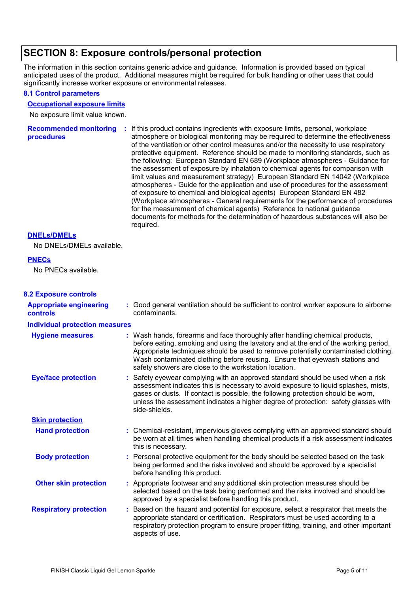# **SECTION 8: Exposure controls/personal protection**

The information in this section contains generic advice and guidance. Information is provided based on typical anticipated uses of the product. Additional measures might be required for bulk handling or other uses that could significantly increase worker exposure or environmental releases.

### **8.1 Control parameters**

### **Occupational exposure limits**

No exposure limit value known.

Recommended monitoring : If this product contains ingredients with exposure limits, personal, workplace **procedures** atmosphere or biological monitoring may be required to determine the effectiveness of the ventilation or other control measures and/or the necessity to use respiratory protective equipment. Reference should be made to monitoring standards, such as the following: European Standard EN 689 (Workplace atmospheres - Guidance for the assessment of exposure by inhalation to chemical agents for comparison with limit values and measurement strategy) European Standard EN 14042 (Workplace atmospheres - Guide for the application and use of procedures for the assessment of exposure to chemical and biological agents) European Standard EN 482 (Workplace atmospheres - General requirements for the performance of procedures for the measurement of chemical agents) Reference to national guidance documents for methods for the determination of hazardous substances will also be required.

### **DNELs/DMELs**

No DNELs/DMELs available.

### **PNECs**

No PNECs available.

### **8.2 Exposure controls**

| <b>Appropriate engineering</b><br><b>controls</b> |    | : Good general ventilation should be sufficient to control worker exposure to airborne<br>contaminants.                                                                                                                                                                                                                                                                                           |
|---------------------------------------------------|----|---------------------------------------------------------------------------------------------------------------------------------------------------------------------------------------------------------------------------------------------------------------------------------------------------------------------------------------------------------------------------------------------------|
| <b>Individual protection measures</b>             |    |                                                                                                                                                                                                                                                                                                                                                                                                   |
| <b>Hygiene measures</b>                           |    | : Wash hands, forearms and face thoroughly after handling chemical products,<br>before eating, smoking and using the lavatory and at the end of the working period.<br>Appropriate techniques should be used to remove potentially contaminated clothing.<br>Wash contaminated clothing before reusing. Ensure that eyewash stations and<br>safety showers are close to the workstation location. |
| <b>Eye/face protection</b>                        |    | : Safety eyewear complying with an approved standard should be used when a risk<br>assessment indicates this is necessary to avoid exposure to liquid splashes, mists,<br>gases or dusts. If contact is possible, the following protection should be worn,<br>unless the assessment indicates a higher degree of protection: safety glasses with<br>side-shields.                                 |
| <b>Skin protection</b>                            |    |                                                                                                                                                                                                                                                                                                                                                                                                   |
| <b>Hand protection</b>                            |    | : Chemical-resistant, impervious gloves complying with an approved standard should<br>be worn at all times when handling chemical products if a risk assessment indicates<br>this is necessary.                                                                                                                                                                                                   |
| <b>Body protection</b>                            |    | : Personal protective equipment for the body should be selected based on the task<br>being performed and the risks involved and should be approved by a specialist<br>before handling this product.                                                                                                                                                                                               |
| <b>Other skin protection</b>                      |    | : Appropriate footwear and any additional skin protection measures should be<br>selected based on the task being performed and the risks involved and should be<br>approved by a specialist before handling this product.                                                                                                                                                                         |
| <b>Respiratory protection</b>                     | ÷. | Based on the hazard and potential for exposure, select a respirator that meets the<br>appropriate standard or certification. Respirators must be used according to a<br>respiratory protection program to ensure proper fitting, training, and other important<br>aspects of use.                                                                                                                 |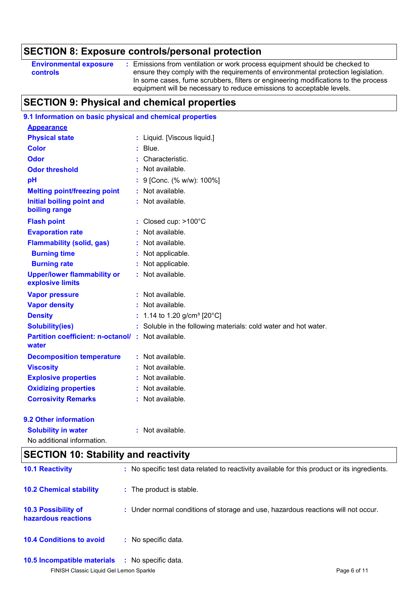# **SECTION 8: Exposure controls/personal protection**

| <b>Environmental exposure</b> | Emissions from ventilation or work process equipment should be checked to          |
|-------------------------------|------------------------------------------------------------------------------------|
| controls                      | ensure they comply with the requirements of environmental protection legislation.  |
|                               | In some cases, fume scrubbers, filters or engineering modifications to the process |
|                               | equipment will be necessary to reduce emissions to acceptable levels.              |

# **SECTION 9: Physical and chemical properties**

# **9.1 Information on basic physical and chemical properties**

| <b>Appearance</b>                                                 |                                                               |
|-------------------------------------------------------------------|---------------------------------------------------------------|
| <b>Physical state</b>                                             | : Liquid. [Viscous liquid.]                                   |
| <b>Color</b>                                                      | $:$ Blue.                                                     |
| <b>Odor</b>                                                       | Characteristic.                                               |
| <b>Odor threshold</b>                                             | : Not available.                                              |
| pH                                                                | 9 [Conc. (% w/w): 100%]                                       |
| <b>Melting point/freezing point</b>                               | : Not available.                                              |
| <b>Initial boiling point and</b><br>boiling range                 | : Not available.                                              |
| <b>Flash point</b>                                                | : Closed cup: $>100^{\circ}$ C                                |
| <b>Evaporation rate</b>                                           | : Not available.                                              |
| <b>Flammability (solid, gas)</b>                                  | : Not available.                                              |
| <b>Burning time</b>                                               | Not applicable.                                               |
| <b>Burning rate</b>                                               | Not applicable.                                               |
| <b>Upper/lower flammability or</b><br>explosive limits            | : Not available.                                              |
| <b>Vapor pressure</b>                                             | $:$ Not available.                                            |
| <b>Vapor density</b>                                              | : Not available.                                              |
| <b>Density</b>                                                    | 1.14 to 1.20 g/cm <sup>3</sup> [20°C]                         |
| <b>Solubility(ies)</b>                                            | Soluble in the following materials: cold water and hot water. |
| <b>Partition coefficient: n-octanol/: Not available.</b><br>water |                                                               |
| <b>Decomposition temperature</b>                                  | $:$ Not available.                                            |
| <b>Viscosity</b>                                                  | : Not available.                                              |
| <b>Explosive properties</b>                                       | Not available.                                                |
| <b>Oxidizing properties</b>                                       | : Not available.                                              |
| <b>Corrosivity Remarks</b>                                        | : Not available.                                              |
|                                                                   |                                                               |

### **9.2 Other information**

**Solubility in water :** Not available.

No additional information.

# **SECTION 10: Stability and reactivity**

| <b>10.1 Reactivity</b>                     | : No specific test data related to reactivity available for this product or its ingredients. |
|--------------------------------------------|----------------------------------------------------------------------------------------------|
| <b>10.2 Chemical stability</b>             | : The product is stable.                                                                     |
| 10.3 Possibility of<br>hazardous reactions | : Under normal conditions of storage and use, hazardous reactions will not occur.            |
| <b>10.4 Conditions to avoid</b>            | : No specific data.                                                                          |
| 10.5 Incompatible materials                | : No specific data.                                                                          |
| FINISH Classic Liquid Gel Lemon Sparkle    | Page 6 of 11                                                                                 |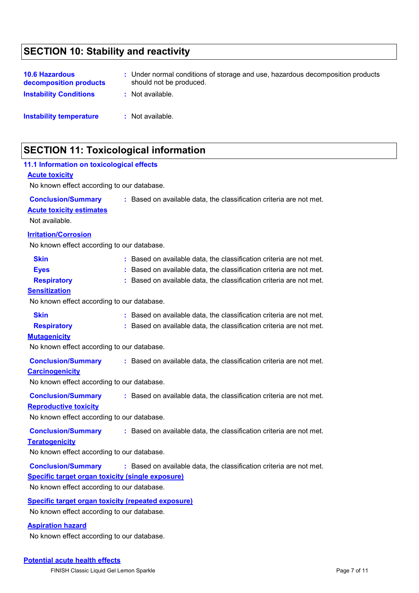# **SECTION 10: Stability and reactivity**

| <b>10.6 Hazardous</b><br>decomposition products<br><b>Instability Conditions</b> | : Under normal conditions of storage and use, hazardous decomposition products<br>should not be produced.<br>: Not available. |
|----------------------------------------------------------------------------------|-------------------------------------------------------------------------------------------------------------------------------|
| Instability temperature                                                          | $:$ Not available.                                                                                                            |

# **SECTION 11: Toxicological information**

| 11.1 Information on toxicological effects<br><b>Acute toxicity</b><br>No known effect according to our database.                   |                                                                                                                                                                                                                   |  |  |  |  |
|------------------------------------------------------------------------------------------------------------------------------------|-------------------------------------------------------------------------------------------------------------------------------------------------------------------------------------------------------------------|--|--|--|--|
| <b>Conclusion/Summary</b><br><b>Acute toxicity estimates</b><br>Not available.                                                     | : Based on available data, the classification criteria are not met.                                                                                                                                               |  |  |  |  |
| <b>Irritation/Corrosion</b><br>No known effect according to our database.                                                          |                                                                                                                                                                                                                   |  |  |  |  |
| <b>Skin</b><br><b>Eyes</b><br><b>Respiratory</b><br><b>Sensitization</b><br>No known effect according to our database.             | : Based on available data, the classification criteria are not met.<br>: Based on available data, the classification criteria are not met.<br>: Based on available data, the classification criteria are not met. |  |  |  |  |
| <b>Skin</b><br><b>Respiratory</b><br><b>Mutagenicity</b><br>No known effect according to our database.                             | : Based on available data, the classification criteria are not met.<br>: Based on available data, the classification criteria are not met.                                                                        |  |  |  |  |
| <b>Conclusion/Summary</b><br><b>Carcinogenicity</b><br>No known effect according to our database.                                  | : Based on available data, the classification criteria are not met.                                                                                                                                               |  |  |  |  |
| <b>Conclusion/Summary</b><br><b>Reproductive toxicity</b><br>No known effect according to our database.                            | : Based on available data, the classification criteria are not met.                                                                                                                                               |  |  |  |  |
| <b>Conclusion/Summary</b><br><b>Teratogenicity</b><br>No known effect according to our database.                                   | : Based on available data, the classification criteria are not met.                                                                                                                                               |  |  |  |  |
| <b>Conclusion/Summary</b><br><b>Specific target organ toxicity (single exposure)</b><br>No known effect according to our database. | : Based on available data, the classification criteria are not met.                                                                                                                                               |  |  |  |  |
| <b>Specific target organ toxicity (repeated exposure)</b><br>No known effect according to our database.                            |                                                                                                                                                                                                                   |  |  |  |  |
| <b>Aspiration hazard</b>                                                                                                           |                                                                                                                                                                                                                   |  |  |  |  |

No known effect according to our database.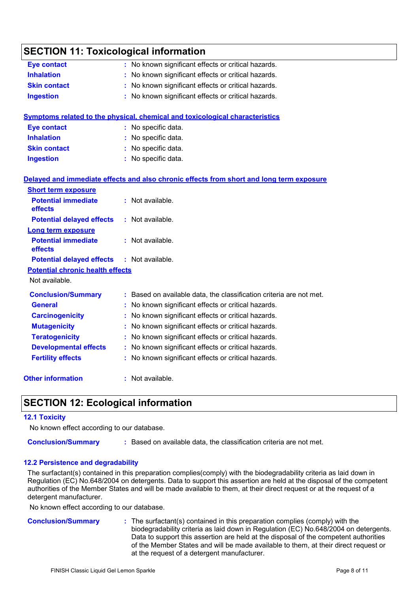# **SECTION 11: Toxicological information**

| <b>Eye contact</b>                      | : No known significant effects or critical hazards.                                      |
|-----------------------------------------|------------------------------------------------------------------------------------------|
| <b>Inhalation</b>                       | No known significant effects or critical hazards.                                        |
| <b>Skin contact</b>                     | : No known significant effects or critical hazards.                                      |
| <b>Ingestion</b>                        | : No known significant effects or critical hazards.                                      |
|                                         | <b>Symptoms related to the physical, chemical and toxicological characteristics</b>      |
| <b>Eye contact</b>                      | : No specific data.                                                                      |
| <b>Inhalation</b>                       | No specific data.                                                                        |
| <b>Skin contact</b>                     | : No specific data.                                                                      |
| <b>Ingestion</b>                        | : No specific data.                                                                      |
|                                         | Delayed and immediate effects and also chronic effects from short and long term exposure |
| <b>Short term exposure</b>              |                                                                                          |
| <b>Potential immediate</b><br>effects   | : Not available.                                                                         |
| <b>Potential delayed effects</b>        | : Not available.                                                                         |
| <b>Long term exposure</b>               |                                                                                          |
| <b>Potential immediate</b><br>effects   | : Not available.                                                                         |
| <b>Potential delayed effects</b>        | : Not available.                                                                         |
| <b>Potential chronic health effects</b> |                                                                                          |
| Not available.                          |                                                                                          |
| <b>Conclusion/Summary</b>               | : Based on available data, the classification criteria are not met.                      |
| <b>General</b>                          | : No known significant effects or critical hazards.                                      |
| <b>Carcinogenicity</b>                  | : No known significant effects or critical hazards.                                      |
| <b>Mutagenicity</b>                     | No known significant effects or critical hazards.                                        |
| <b>Teratogenicity</b>                   | No known significant effects or critical hazards.                                        |
| <b>Developmental effects</b>            | No known significant effects or critical hazards.                                        |
| <b>Fertility effects</b>                | : No known significant effects or critical hazards.                                      |
| <b>Other information</b>                | : Not available.                                                                         |

# **SECTION 12: Ecological information**

### **12.1 Toxicity**

No known effect according to our database.

**Conclusion/Summary :** Based on available data, the classification criteria are not met.

### **12.2 Persistence and degradability**

The surfactant(s) contained in this preparation complies(comply) with the biodegradability criteria as laid down in Regulation (EC) No.648/2004 on detergents. Data to support this assertion are held at the disposal of the competent authorities of the Member States and will be made available to them, at their direct request or at the request of a detergent manufacturer.

No known effect according to our database.

**Conclusion/Summary :** The surfactant(s) contained in this preparation complies (comply) with the biodegradability criteria as laid down in Regulation (EC) No.648/2004 on detergents. Data to support this assertion are held at the disposal of the competent authorities of the Member States and will be made available to them, at their direct request or at the request of a detergent manufacturer.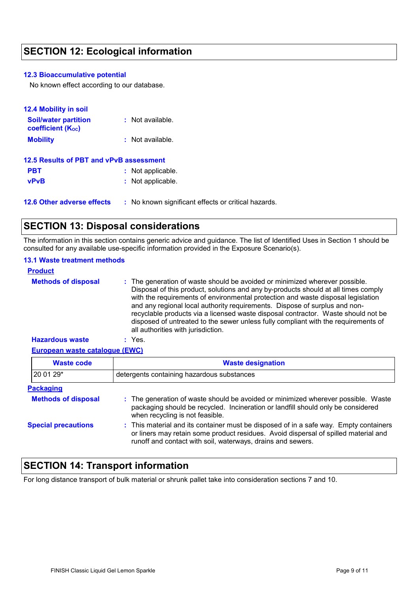# **SECTION 12: Ecological information**

### **12.3 Bioaccumulative potential**

No known effect according to our database.

| <b>12.4 Mobility in soil</b>                            |                                                     |
|---------------------------------------------------------|-----------------------------------------------------|
| <b>Soil/water partition</b><br><b>coefficient (Koc)</b> | : Not available.                                    |
| <b>Mobility</b>                                         | : Not available.                                    |
| 12.5 Results of PBT and vPvB assessment                 |                                                     |
| <b>PBT</b>                                              | : Not applicable.                                   |
| <b>vPvB</b>                                             | : Not applicable.                                   |
| <b>12.6 Other adverse effects</b>                       | : No known significant effects or critical hazards. |

# **SECTION 13: Disposal considerations**

The information in this section contains generic advice and guidance. The list of Identified Uses in Section 1 should be consulted for any available use-specific information provided in the Exposure Scenario(s).

### **13.1 Waste treatment methods**

| <b>Product</b>             |                                                                                                                                                                                                                                                                                                                                                                                                                                                                                                                                                      |
|----------------------------|------------------------------------------------------------------------------------------------------------------------------------------------------------------------------------------------------------------------------------------------------------------------------------------------------------------------------------------------------------------------------------------------------------------------------------------------------------------------------------------------------------------------------------------------------|
| <b>Methods of disposal</b> | : The generation of waste should be avoided or minimized wherever possible.<br>Disposal of this product, solutions and any by-products should at all times comply<br>with the requirements of environmental protection and waste disposal legislation<br>and any regional local authority requirements. Dispose of surplus and non-<br>recyclable products via a licensed waste disposal contractor. Waste should not be<br>disposed of untreated to the sewer unless fully compliant with the requirements of<br>all authorities with jurisdiction. |
| <b>Hazardous waste</b>     | : Yes.                                                                                                                                                                                                                                                                                                                                                                                                                                                                                                                                               |

### **European waste catalogue (EWC)**

| <b>Waste code</b>          | <b>Waste designation</b>                                                                                                                                                                                                                    |  |  |
|----------------------------|---------------------------------------------------------------------------------------------------------------------------------------------------------------------------------------------------------------------------------------------|--|--|
| 20 01 29*                  | detergents containing hazardous substances                                                                                                                                                                                                  |  |  |
| <b>Packaging</b>           |                                                                                                                                                                                                                                             |  |  |
| <b>Methods of disposal</b> | : The generation of waste should be avoided or minimized wherever possible. Waste<br>packaging should be recycled. Incineration or landfill should only be considered<br>when recycling is not feasible.                                    |  |  |
| <b>Special precautions</b> | : This material and its container must be disposed of in a safe way. Empty containers<br>or liners may retain some product residues. Avoid dispersal of spilled material and<br>runoff and contact with soil, waterways, drains and sewers. |  |  |

# **SECTION 14: Transport information**

For long distance transport of bulk material or shrunk pallet take into consideration sections 7 and 10.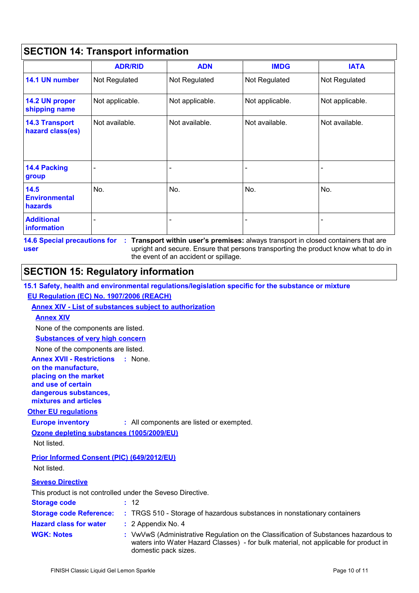|                                           | <b>ADR/RID</b>  | <b>ADN</b>      | <b>IMDG</b>     | <b>IATA</b>     |
|-------------------------------------------|-----------------|-----------------|-----------------|-----------------|
| 14.1 UN number                            | Not Regulated   | Not Regulated   | Not Regulated   | Not Regulated   |
| 14.2 UN proper<br>shipping name           | Not applicable. | Not applicable. | Not applicable. | Not applicable. |
| <b>14.3 Transport</b><br>hazard class(es) | Not available.  | Not available.  | Not available.  | Not available.  |
| <b>14.4 Packing</b><br>group              |                 |                 |                 |                 |
| 14.5<br><b>Environmental</b><br>hazards   | No.             | No.             | No.             | No.             |
| <b>Additional</b><br><b>information</b>   |                 |                 |                 |                 |

**14.6 Special precautions for : Transport within user's premises:** always transport in closed containers that are upright and secure. Ensure that persons transporting the product know what to do in the event of an accident or spillage. **user**

# **SECTION 15: Regulatory information**

|  |  | 15.1 Safety, health and environmental regulations/legislation specific for the substance or mixture |  |
|--|--|-----------------------------------------------------------------------------------------------------|--|
|  |  |                                                                                                     |  |

### **EU Regulation (EC) No. 1907/2006 (REACH)**

### **Annex XIV - List of substances subject to authorization**

### **Annex XIV**

None of the components are listed.

### **Substances of very high concern**

None of the components are listed.

**Annex XVII - Restrictions : None.** 

#### **on the manufacture, placing on the market**

**and use of certain** 

**dangerous substances,**

**mixtures and articles**

### **Other EU regulations**

**Europe inventory :** All components are listed or exempted.

### **Ozone depleting substances (1005/2009/EU)**

Not listed.

### **Prior Informed Consent (PIC) (649/2012/EU)**

Not listed.

### **Seveso Directive**

This product is not controlled under the Seveso Directive.

| <b>Storage code</b>            | : 12                                                                                                                                                                                                |
|--------------------------------|-----------------------------------------------------------------------------------------------------------------------------------------------------------------------------------------------------|
| <b>Storage code Reference:</b> | : TRGS 510 - Storage of hazardous substances in nonstationary containers                                                                                                                            |
| <b>Hazard class for water</b>  | $: 2$ Appendix No. 4                                                                                                                                                                                |
| <b>WGK: Notes</b>              | : VwVwS (Administrative Regulation on the Classification of Substances hazardous to<br>waters into Water Hazard Classes) - for bulk material, not applicable for product in<br>domestic pack sizes. |